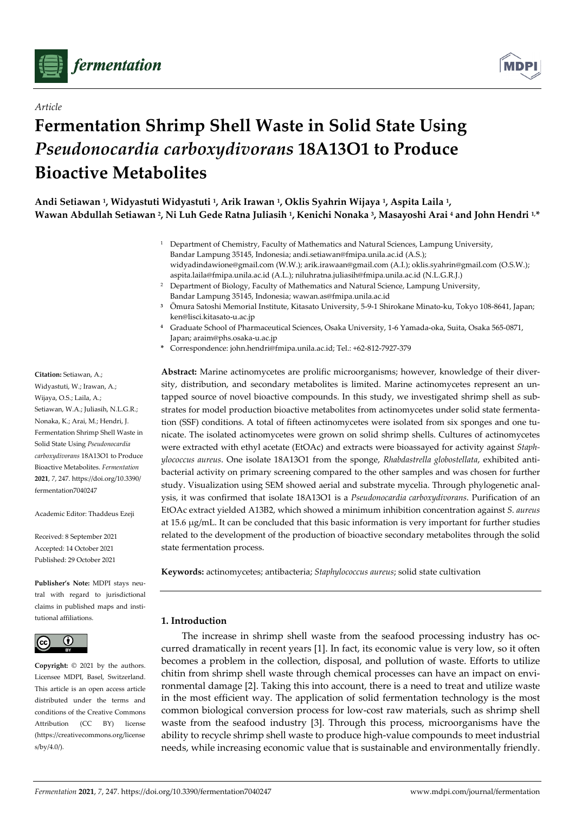

*Article* 



# **Fermentation Shrimp Shell Waste in Solid State Using**  *Pseudonocardia carboxydivorans* **18A13O1 to Produce Bioactive Metabolites**

**Andi Setiawan 1, Widyastuti Widyastuti 1, Arik Irawan 1, Oklis Syahrin Wijaya 1, Aspita Laila 1, Wawan Abdullah Setiawan 2, Ni Luh Gede Ratna Juliasih 1, Kenichi Nonaka 3, Masayoshi Arai 4 and John Hendri 1,\*** 

- 1 Department of Chemistry, Faculty of Mathematics and Natural Sciences, Lampung University, Bandar Lampung 35145, Indonesia; andi.setiawan@fmipa.unila.ac.id (A.S.); widyadindawione@gmail.com (W.W.); arik.irawaan@gmail.com (A.I.); oklis.syahrin@gmail.com (O.S.W.); aspita.laila@fmipa.unila.ac.id (A.L.); niluhratna.juliasih@fmipa.unila.ac.id (N.L.G.R.J.)
- <sup>2</sup> Department of Biology, Faculty of Mathematics and Natural Science, Lampung University, Bandar Lampung 35145, Indonesia; wawan.as@fmipa.unila.ac.id
- **<sup>3</sup>** Ōmura Satoshi Memorial Institute, Kitasato University, 5-9-1 Shirokane Minato-ku, Tokyo 108-8641, Japan; ken@lisci.kitasato-u.ac.jp
- **<sup>4</sup>** Graduate School of Pharmaceutical Sciences, Osaka University, 1-6 Yamada-oka, Suita, Osaka 565-0871, Japan; araim@phs.osaka-u.ac.jp
- **\*** Correspondence: john.hendri@fmipa.unila.ac.id; Tel.: +62-812-7927-379

**Abstract:** Marine actinomycetes are prolific microorganisms; however, knowledge of their diversity, distribution, and secondary metabolites is limited. Marine actinomycetes represent an untapped source of novel bioactive compounds. In this study, we investigated shrimp shell as substrates for model production bioactive metabolites from actinomycetes under solid state fermentation (SSF) conditions. A total of fifteen actinomycetes were isolated from six sponges and one tunicate. The isolated actinomycetes were grown on solid shrimp shells. Cultures of actinomycetes were extracted with ethyl acetate (EtOAc) and extracts were bioassayed for activity against *Staphylococcus aureus*. One isolate 18A13O1 from the sponge, *Rhabdastrella globostellata*, exhibited antibacterial activity on primary screening compared to the other samples and was chosen for further study. Visualization using SEM showed aerial and substrate mycelia. Through phylogenetic analysis, it was confirmed that isolate 18A13O1 is a *Pseudonocardia carboxydivorans*. Purification of an EtOAc extract yielded A13B2, which showed a minimum inhibition concentration against *S. aureus* at 15.6 μg/mL. It can be concluded that this basic information is very important for further studies related to the development of the production of bioactive secondary metabolites through the solid state fermentation process.

**Keywords:** actinomycetes; antibacteria; *Staphylococcus aureus*; solid state cultivation

# **1. Introduction**

The increase in shrimp shell waste from the seafood processing industry has occurred dramatically in recent years [1]. In fact, its economic value is very low, so it often becomes a problem in the collection, disposal, and pollution of waste. Efforts to utilize chitin from shrimp shell waste through chemical processes can have an impact on environmental damage [2]. Taking this into account, there is a need to treat and utilize waste in the most efficient way. The application of solid fermentation technology is the most common biological conversion process for low-cost raw materials, such as shrimp shell waste from the seafood industry [3]. Through this process, microorganisms have the ability to recycle shrimp shell waste to produce high-value compounds to meet industrial needs, while increasing economic value that is sustainable and environmentally friendly.

**Citation:** Setiawan, A.; Widyastuti, W.; Irawan, A.; Wijaya, O.S.; Laila, A.; Setiawan, W.A.; Juliasih, N.L.G.R.; Nonaka, K.; Arai, M.; Hendri, J. Fermentation Shrimp Shell Waste in Solid State Using *Pseudonocardia carboxydivorans* 18A13O1 to Produce Bioactive Metabolites. *Fermentation*  **2021**, *7*, 247. https://doi.org/10.3390/ fermentation7040247

Academic Editor: Thaddeus Ezeji

Received: 8 September 2021 Accepted: 14 October 2021 Published: 29 October 2021

**Publisher's Note:** MDPI stays neutral with regard to jurisdictional claims in published maps and institutional affiliations.



**Copyright:** © 2021 by the authors. Licensee MDPI, Basel, Switzerland. This article is an open access article distributed under the terms and conditions of the Creative Commons Attribution (CC BY) license (https://creativecommons.org/license s/by/4.0/).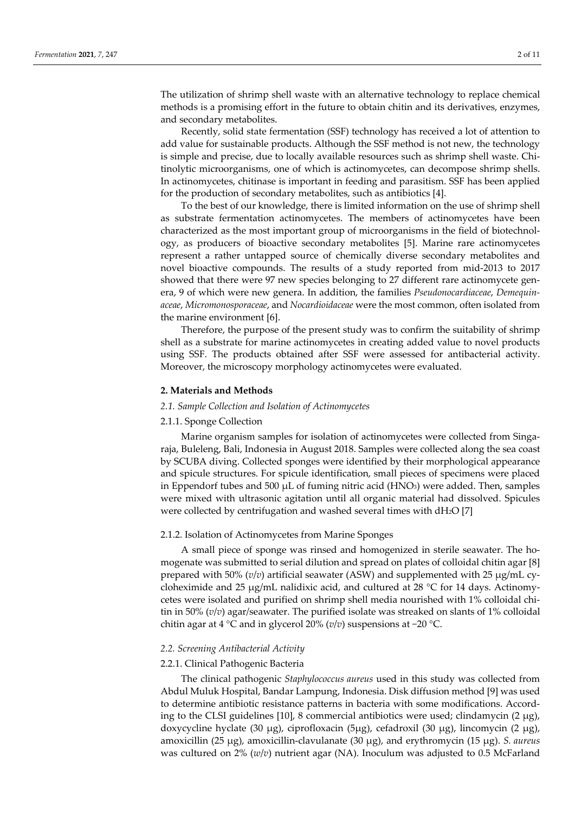The utilization of shrimp shell waste with an alternative technology to replace chemical methods is a promising effort in the future to obtain chitin and its derivatives, enzymes, and secondary metabolites.

Recently, solid state fermentation (SSF) technology has received a lot of attention to add value for sustainable products. Although the SSF method is not new, the technology is simple and precise, due to locally available resources such as shrimp shell waste. Chitinolytic microorganisms, one of which is actinomycetes, can decompose shrimp shells. In actinomycetes, chitinase is important in feeding and parasitism. SSF has been applied for the production of secondary metabolites, such as antibiotics [4].

To the best of our knowledge, there is limited information on the use of shrimp shell as substrate fermentation actinomycetes. The members of actinomycetes have been characterized as the most important group of microorganisms in the field of biotechnology, as producers of bioactive secondary metabolites [5]. Marine rare actinomycetes represent a rather untapped source of chemically diverse secondary metabolites and novel bioactive compounds. The results of a study reported from mid-2013 to 2017 showed that there were 97 new species belonging to 27 different rare actinomycete genera, 9 of which were new genera. In addition, the families *Pseudonocardiaceae*, *Demequinaceae*, *Micromonosporaceae*, and *Nocardioidaceae* were the most common, often isolated from the marine environment [6].

Therefore, the purpose of the present study was to confirm the suitability of shrimp shell as a substrate for marine actinomycetes in creating added value to novel products using SSF. The products obtained after SSF were assessed for antibacterial activity. Moreover, the microscopy morphology actinomycetes were evaluated.

#### **2. Materials and Methods**

#### *2.1. Sample Collection and Isolation of Actinomycetes*

# 2.1.1. Sponge Collection

Marine organism samples for isolation of actinomycetes were collected from Singaraja, Buleleng, Bali, Indonesia in August 2018. Samples were collected along the sea coast by SCUBA diving. Collected sponges were identified by their morphological appearance and spicule structures. For spicule identification, small pieces of specimens were placed in Eppendorf tubes and 500 μL of fuming nitric acid (HNO3) were added. Then, samples were mixed with ultrasonic agitation until all organic material had dissolved. Spicules were collected by centrifugation and washed several times with dH2O [7]

#### 2.1.2. Isolation of Actinomycetes from Marine Sponges

A small piece of sponge was rinsed and homogenized in sterile seawater. The homogenate was submitted to serial dilution and spread on plates of colloidal chitin agar [8] prepared with 50% (*v*/*v*) artificial seawater (ASW) and supplemented with 25 μg/mL cycloheximide and 25 μg/mL nalidixic acid, and cultured at 28  $^{\circ}$ C for 14 days. Actinomycetes were isolated and purified on shrimp shell media nourished with 1% colloidal chitin in 50% (*v*/*v*) agar/seawater. The purified isolate was streaked on slants of 1% colloidal chitin agar at 4 °C and in glycerol 20% (*v*/*v*) suspensions at −20 °C.

# *2.2. Screening Antibacterial Activity*

# 2.2.1. Clinical Pathogenic Bacteria

The clinical pathogenic *Staphylococcus aureus* used in this study was collected from Abdul Muluk Hospital, Bandar Lampung, Indonesia. Disk diffusion method [9] was used to determine antibiotic resistance patterns in bacteria with some modifications. According to the CLSI guidelines [10], 8 commercial antibiotics were used; clindamycin (2  $\mu$ g), doxycycline hyclate (30 μg), ciprofloxacin (5μg), cefadroxil (30 μg), lincomycin (2 μg), amoxicillin (25 μg), amoxicillin-clavulanate (30 μg), and erythromycin (15 μg). *S. aureus* was cultured on 2% (*w*/*v*) nutrient agar (NA). Inoculum was adjusted to 0.5 McFarland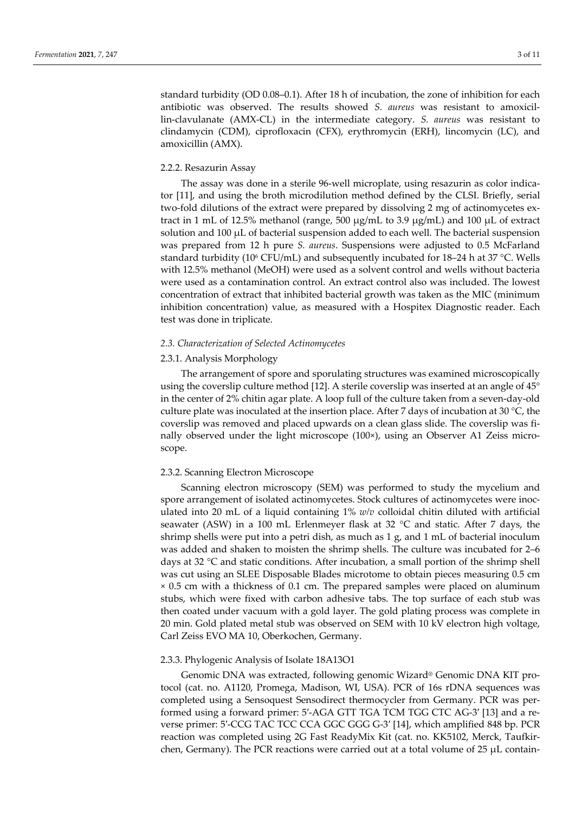standard turbidity (OD 0.08–0.1). After 18 h of incubation, the zone of inhibition for each antibiotic was observed. The results showed *S. aureus* was resistant to amoxicillin-clavulanate (AMX-CL) in the intermediate category. *S. aureus* was resistant to clindamycin (CDM), ciprofloxacin (CFX), erythromycin (ERH), lincomycin (LC), and amoxicillin (AMX).

# 2.2.2. Resazurin Assay

The assay was done in a sterile 96-well microplate, using resazurin as color indicator [11], and using the broth microdilution method defined by the CLSI. Briefly, serial two-fold dilutions of the extract were prepared by dissolving 2 mg of actinomycetes extract in 1 mL of 12.5% methanol (range, 500 μg/mL to 3.9 μg/mL) and 100 μL of extract solution and  $100 \mu L$  of bacterial suspension added to each well. The bacterial suspension was prepared from 12 h pure *S. aureus*. Suspensions were adjusted to 0.5 McFarland standard turbidity (10<sup>6</sup> CFU/mL) and subsequently incubated for 18-24 h at 37 °C. Wells with 12.5% methanol (MeOH) were used as a solvent control and wells without bacteria were used as a contamination control. An extract control also was included. The lowest concentration of extract that inhibited bacterial growth was taken as the MIC (minimum inhibition concentration) value, as measured with a Hospitex Diagnostic reader. Each test was done in triplicate.

# *2.3. Characterization of Selected Actinomycetes*

#### 2.3.1. Analysis Morphology

The arrangement of spore and sporulating structures was examined microscopically using the coverslip culture method [12]. A sterile coverslip was inserted at an angle of 45° in the center of 2% chitin agar plate. A loop full of the culture taken from a seven-day-old culture plate was inoculated at the insertion place. After 7 days of incubation at 30 °C, the coverslip was removed and placed upwards on a clean glass slide. The coverslip was finally observed under the light microscope (100×), using an Observer A1 Zeiss microscope.

#### 2.3.2. Scanning Electron Microscope

Scanning electron microscopy (SEM) was performed to study the mycelium and spore arrangement of isolated actinomycetes. Stock cultures of actinomycetes were inoculated into 20 mL of a liquid containing 1% *w/v* colloidal chitin diluted with artificial seawater (ASW) in a 100 mL Erlenmeyer flask at 32 °C and static. After 7 days, the shrimp shells were put into a petri dish, as much as 1 g, and 1 mL of bacterial inoculum was added and shaken to moisten the shrimp shells. The culture was incubated for 2–6 days at 32 °C and static conditions. After incubation, a small portion of the shrimp shell was cut using an SLEE Disposable Blades microtome to obtain pieces measuring 0.5 cm × 0.5 cm with a thickness of 0.1 cm. The prepared samples were placed on aluminum stubs, which were fixed with carbon adhesive tabs. The top surface of each stub was then coated under vacuum with a gold layer. The gold plating process was complete in 20 min. Gold plated metal stub was observed on SEM with 10 kV electron high voltage, Carl Zeiss EVO MA 10, Oberkochen, Germany.

#### 2.3.3. Phylogenic Analysis of Isolate 18A13O1

Genomic DNA was extracted, following genomic Wizard® Genomic DNA KIT protocol (cat. no. A1120, Promega, Madison, WI, USA). PCR of 16s rDNA sequences was completed using a Sensoquest Sensodirect thermocycler from Germany. PCR was performed using a forward primer: 5′-AGA GTT TGA TCM TGG CTC AG-3′ [13] and a reverse primer: 5′-CCG TAC TCC CCA GGC GGG G-3′ [14], which amplified 848 bp. PCR reaction was completed using 2G Fast ReadyMix Kit (cat. no. KK5102, Merck, Taufkirchen, Germany). The PCR reactions were carried out at a total volume of 25 μL contain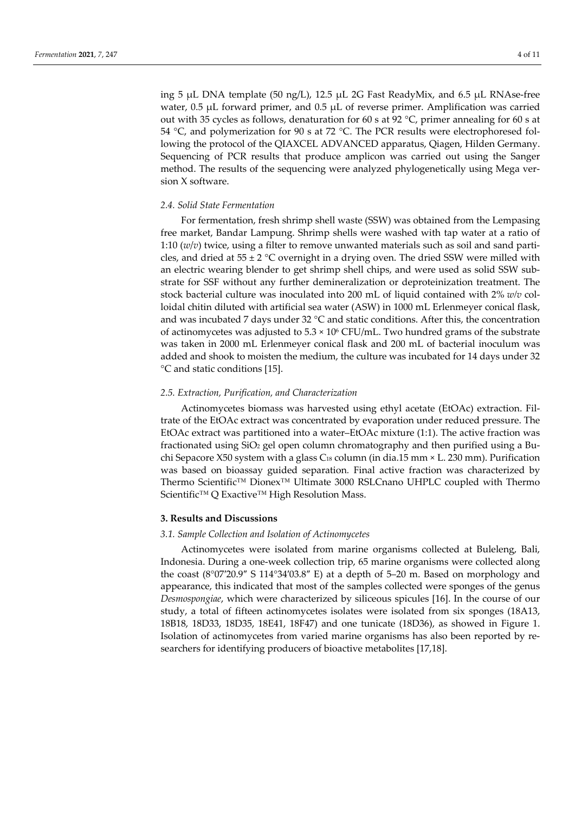ing 5 μL DNA template (50 ng/L), 12.5 μL 2G Fast ReadyMix, and 6.5 μL RNAse-free water, 0.5 μL forward primer, and 0.5 μL of reverse primer. Amplification was carried out with 35 cycles as follows, denaturation for 60 s at 92 °C, primer annealing for 60 s at 54 °C, and polymerization for 90 s at 72 °C. The PCR results were electrophoresed following the protocol of the QIAXCEL ADVANCED apparatus, Qiagen, Hilden Germany. Sequencing of PCR results that produce amplicon was carried out using the Sanger method. The results of the sequencing were analyzed phylogenetically using Mega version X software.

#### *2.4. Solid State Fermentation*

For fermentation, fresh shrimp shell waste (SSW) was obtained from the Lempasing free market, Bandar Lampung. Shrimp shells were washed with tap water at a ratio of 1:10 (*w*/*v*) twice, using a filter to remove unwanted materials such as soil and sand particles, and dried at  $55 \pm 2$  °C overnight in a drying oven. The dried SSW were milled with an electric wearing blender to get shrimp shell chips, and were used as solid SSW substrate for SSF without any further demineralization or deproteinization treatment. The stock bacterial culture was inoculated into 200 mL of liquid contained with 2% *w/v* colloidal chitin diluted with artificial sea water (ASW) in 1000 mL Erlenmeyer conical flask, and was incubated 7 days under 32 °C and static conditions. After this, the concentration of actinomycetes was adjusted to  $5.3 \times 10^6$  CFU/mL. Two hundred grams of the substrate was taken in 2000 mL Erlenmeyer conical flask and 200 mL of bacterial inoculum was added and shook to moisten the medium, the culture was incubated for 14 days under 32 °C and static conditions [15].

#### *2.5. Extraction, Purification, and Characterization*

Actinomycetes biomass was harvested using ethyl acetate (EtOAc) extraction. Filtrate of the EtOAc extract was concentrated by evaporation under reduced pressure. The EtOAc extract was partitioned into a water–EtOAc mixture (1:1). The active fraction was fractionated using  $SiO<sub>2</sub>$  gel open column chromatography and then purified using a Buchi Sepacore X50 system with a glass C<sub>18</sub> column (in dia.15 mm  $\times$  L. 230 mm). Purification was based on bioassay guided separation*.* Final active fraction was characterized by Thermo Scientific™ Dionex™ Ultimate 3000 RSLCnano UHPLC coupled with Thermo Scientific™ Q Exactive™ High Resolution Mass.

#### **3. Results and Discussions**

## *3.1. Sample Collection and Isolation of Actinomycetes*

Actinomycetes were isolated from marine organisms collected at Buleleng, Bali, Indonesia. During a one-week collection trip, 65 marine organisms were collected along the coast  $(8^{\circ}07'20.9''$  S 114°34′03.8″ E) at a depth of 5–20 m. Based on morphology and appearance, this indicated that most of the samples collected were sponges of the genus *Desmospongiae*, which were characterized by siliceous spicules [16]. In the course of our study, a total of fifteen actinomycetes isolates were isolated from six sponges (18A13, 18B18, 18D33, 18D35, 18E41, 18F47) and one tunicate (18D36), as showed in Figure 1. Isolation of actinomycetes from varied marine organisms has also been reported by researchers for identifying producers of bioactive metabolites [17,18].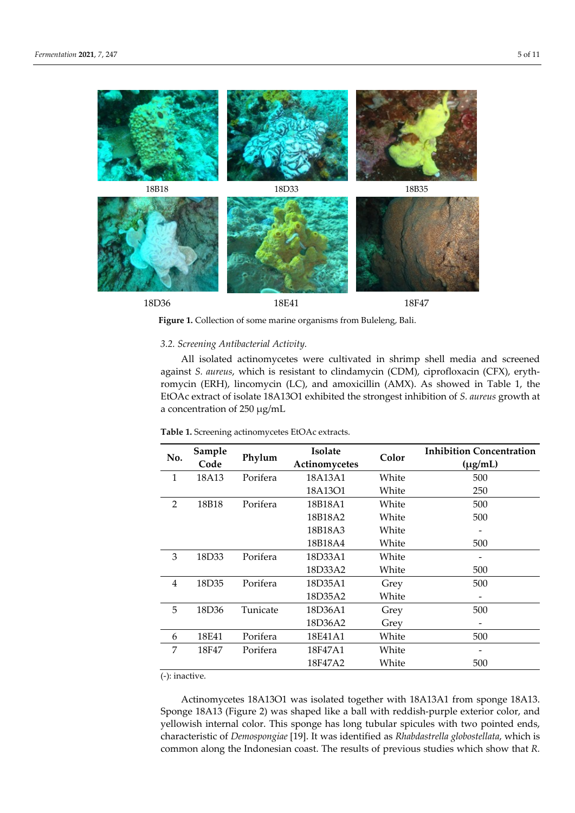

**Figure 1.** Collection of some marine organisms from Buleleng, Bali.

# *3.2. Screening Antibacterial Activity.*

All isolated actinomycetes were cultivated in shrimp shell media and screened against *S. aureus*, which is resistant to clindamycin (CDM), ciprofloxacin (CFX), erythromycin (ERH), lincomycin (LC), and amoxicillin (AMX). As showed in Table 1, the EtOAc extract of isolate 18A13O1 exhibited the strongest inhibition of *S. aureus* growth at a concentration of 250 μg/mL

**Table 1.** Screening actinomycetes EtOAc extracts.

| No.            | Sample<br>Code | Phylum   | <b>Isolate</b> | Color | <b>Inhibition Concentration</b> |
|----------------|----------------|----------|----------------|-------|---------------------------------|
|                |                |          | Actinomycetes  |       | $(\mu g/mL)$                    |
| 1              | 18A13          | Porifera | 18A13A1        | White | 500                             |
|                |                |          | 18A13O1        | White | 250                             |
| $\overline{2}$ | 18B18          | Porifera | 18B18A1        | White | 500                             |
|                |                |          | 18B18A2        | White | 500                             |
|                |                |          | 18B18A3        | White |                                 |
|                |                |          | 18B18A4        | White | 500                             |
| 3              | 18D33          | Porifera | 18D33A1        | White |                                 |
|                |                |          | 18D33A2        | White | 500                             |
| $\overline{4}$ | 18D35          | Porifera | 18D35A1        | Grey  | 500                             |
|                |                |          | 18D35A2        | White |                                 |
| 5              | 18D36          | Tunicate | 18D36A1        | Grey  | 500                             |
|                |                |          | 18D36A2        | Grey  |                                 |
| 6              | 18E41          | Porifera | 18E41A1        | White | 500                             |
| 7              | 18F47          | Porifera | 18F47A1        | White |                                 |
|                |                |          | 18F47A2        | White | 500                             |

(-): inactive.

Actinomycetes 18A13O1 was isolated together with 18A13A1 from sponge 18A13. Sponge 18A13 (Figure 2) was shaped like a ball with reddish-purple exterior color, and yellowish internal color. This sponge has long tubular spicules with two pointed ends, characteristic of *Demospongiae* [19]. It was identified as *Rhabdastrella globostellata*, which is common along the Indonesian coast. The results of previous studies which show that *R.*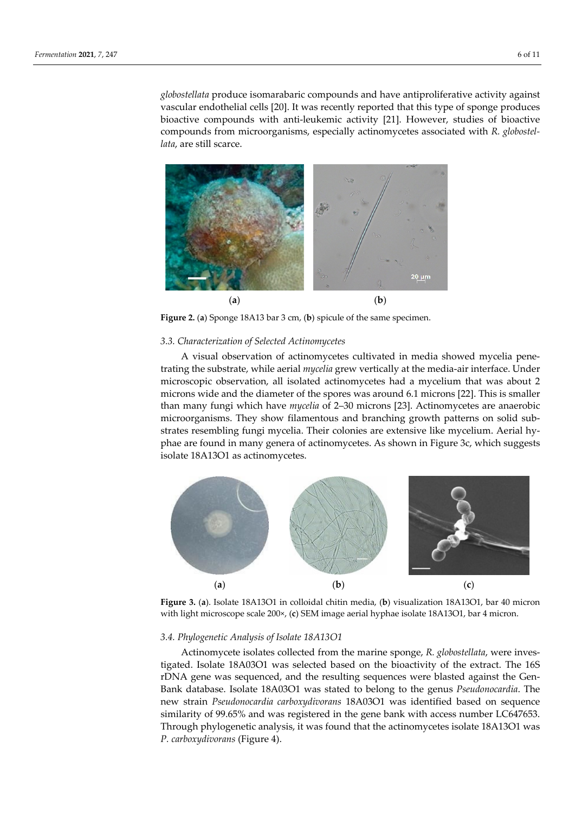*globostellata* produce isomarabaric compounds and have antiproliferative activity against vascular endothelial cells [20]. It was recently reported that this type of sponge produces bioactive compounds with anti-leukemic activity [21]. However, studies of bioactive compounds from microorganisms, especially actinomycetes associated with *R. globostellata*, are still scarce.



**Figure 2.** (**a**) Sponge 18A13 bar 3 cm, (**b**) spicule of the same specimen.

#### *3.3. Characterization of Selected Actinomycetes*

A visual observation of actinomycetes cultivated in media showed mycelia penetrating the substrate, while aerial *mycelia* grew vertically at the media-air interface. Under microscopic observation, all isolated actinomycetes had a mycelium that was about 2 microns wide and the diameter of the spores was around 6.1 microns [22]. This is smaller than many fungi which have *mycelia* of 2–30 microns [23]. Actinomycetes are anaerobic microorganisms. They show filamentous and branching growth patterns on solid substrates resembling fungi mycelia. Their colonies are extensive like mycelium. Aerial hyphae are found in many genera of actinomycetes. As shown in Figure 3c, which suggests isolate 18A13O1 as actinomycetes.



**Figure 3.** (**a**). Isolate 18A13O1 in colloidal chitin media, (**b**) visualization 18A13O1, bar 40 micron with light microscope scale 200×, (**c**) SEM image aerial hyphae isolate 18A13O1, bar 4 micron.

## *3.4. Phylogenetic Analysis of Isolate 18A13O1*

Actinomycete isolates collected from the marine sponge, *R. globostellata*, were investigated. Isolate 18A03O1 was selected based on the bioactivity of the extract. The 16S rDNA gene was sequenced, and the resulting sequences were blasted against the Gen-Bank database. Isolate 18A03O1 was stated to belong to the genus *Pseudonocardia*. The new strain *Pseudonocardia carboxydivorans* 18A03O1 was identified based on sequence similarity of 99.65% and was registered in the gene bank with access number LC647653. Through phylogenetic analysis, it was found that the actinomycetes isolate 18A13O1 was *P. carboxydivorans* (Figure 4).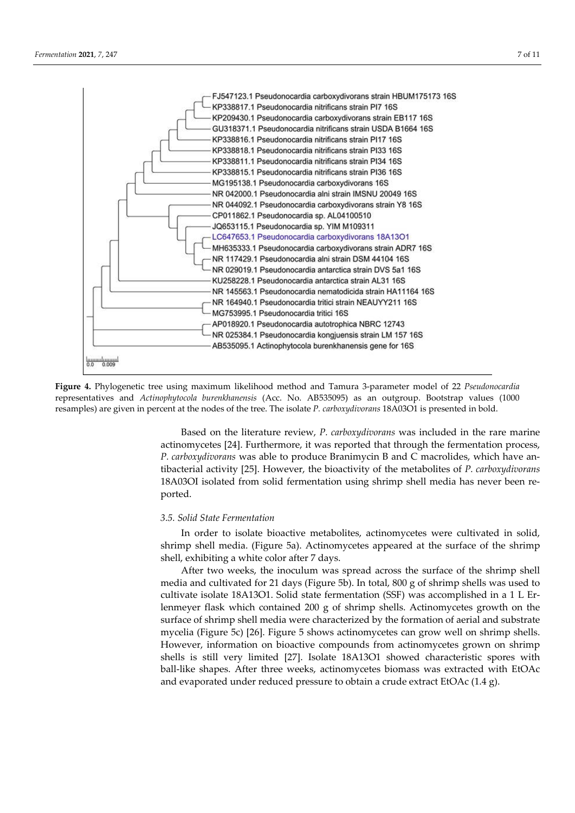

**Figure 4.** Phylogenetic tree using maximum likelihood method and Tamura 3-parameter model of 22 *Pseudonocardia* representatives and *Actinophytocola burenkhanensis* (Acc. No. AB535095) as an outgroup. Bootstrap values (1000 resamples) are given in percent at the nodes of the tree. The isolate *P. carboxydivorans* 18A03O1 is presented in bold.

Based on the literature review, *P. carboxydivorans* was included in the rare marine actinomycetes [24]. Furthermore, it was reported that through the fermentation process, *P. carboxydivorans* was able to produce Branimycin B and C macrolides, which have antibacterial activity [25]. However, the bioactivity of the metabolites of *P. carboxydivorans* 18A03OI isolated from solid fermentation using shrimp shell media has never been reported.

#### *3.5. Solid State Fermentation*

In order to isolate bioactive metabolites, actinomycetes were cultivated in solid, shrimp shell media. (Figure 5a). Actinomycetes appeared at the surface of the shrimp shell, exhibiting a white color after 7 days.

After two weeks, the inoculum was spread across the surface of the shrimp shell media and cultivated for 21 days (Figure 5b). In total, 800 g of shrimp shells was used to cultivate isolate 18A13O1. Solid state fermentation (SSF) was accomplished in a 1 L Erlenmeyer flask which contained 200 g of shrimp shells. Actinomycetes growth on the surface of shrimp shell media were characterized by the formation of aerial and substrate mycelia (Figure 5c) [26]. Figure 5 shows actinomycetes can grow well on shrimp shells. However, information on bioactive compounds from actinomycetes grown on shrimp shells is still very limited [27]. Isolate 18A13O1 showed characteristic spores with ball-like shapes. After three weeks, actinomycetes biomass was extracted with EtOAc and evaporated under reduced pressure to obtain a crude extract EtOAc (1.4 g).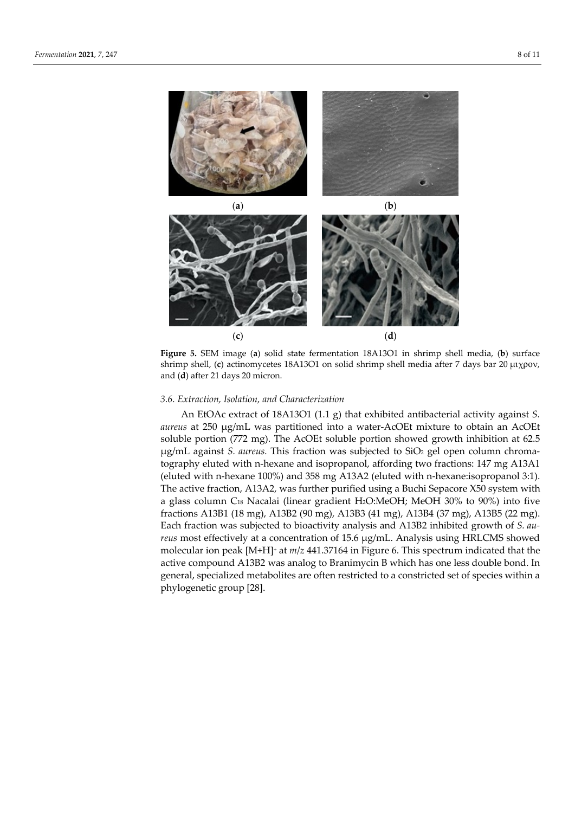

**Figure 5.** SEM image (**a**) solid state fermentation 18A13O1 in shrimp shell media, (**b**) surface shrimp shell, (**c**) actinomycetes 18A13O1 on solid shrimp shell media after 7 days bar 20 μιχρον, and (**d**) after 21 days 20 micron.

## *3.6. Extraction, Isolation, and Characterization*

An EtOAc extract of 18A13O1 (1.1 g) that exhibited antibacterial activity against *S. aureus* at 250 μg/mL was partitioned into a water-AcOEt mixture to obtain an AcOEt soluble portion (772 mg). The AcOEt soluble portion showed growth inhibition at 62.5 μg/mL against *S. aureus.* This fraction was subjected to SiO2 gel open column chromatography eluted with n-hexane and isopropanol, affording two fractions: 147 mg A13A1 (eluted with n-hexane 100%) and 358 mg A13A2 (eluted with n-hexane:isopropanol 3:1). The active fraction, A13A2, was further purified using a Buchi Sepacore X50 system with a glass column C18 Nacalai (linear gradient H2O:MeOH; MeOH 30% to 90%) into five fractions A13B1 (18 mg), A13B2 (90 mg), A13B3 (41 mg), A13B4 (37 mg), A13B5 (22 mg). Each fraction was subjected to bioactivity analysis and A13B2 inhibited growth of *S. aureus* most effectively at a concentration of 15.6 μg/mL. Analysis using HRLCMS showed molecular ion peak [M+H]+ at *m*/*z* 441.37164 in Figure 6. This spectrum indicated that the active compound A13B2 was analog to Branimycin B which has one less double bond. In general, specialized metabolites are often restricted to a constricted set of species within a phylogenetic group [28].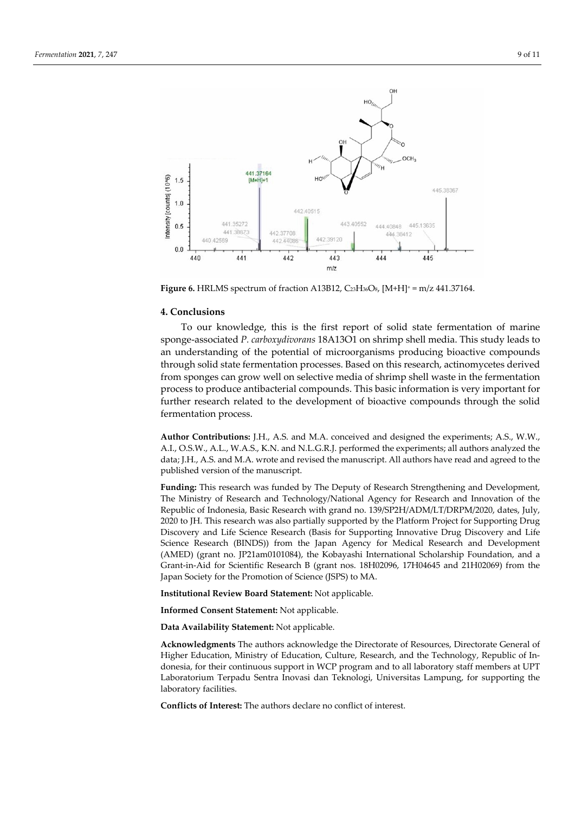

**Figure 6. HRLMS** spectrum of fraction A13B12, C23H36O8, [M+H]<sup>+</sup> = m/z 441.37164.

# **4. Conclusions**

To our knowledge, this is the first report of solid state fermentation of marine sponge-associated *P. carboxydivorans* 18A13O1 on shrimp shell media. This study leads to an understanding of the potential of microorganisms producing bioactive compounds through solid state fermentation processes. Based on this research, actinomycetes derived from sponges can grow well on selective media of shrimp shell waste in the fermentation process to produce antibacterial compounds. This basic information is very important for further research related to the development of bioactive compounds through the solid fermentation process.

**Author Contributions:** J.H., A.S. and M.A. conceived and designed the experiments; A.S., W.W., A.I., O.S.W., A.L., W.A.S., K.N. and N.L.G.R.J. performed the experiments; all authors analyzed the data; J.H., A.S. and M.A. wrote and revised the manuscript. All authors have read and agreed to the published version of the manuscript.

**Funding:** This research was funded by The Deputy of Research Strengthening and Development, The Ministry of Research and Technology/National Agency for Research and Innovation of the Republic of Indonesia, Basic Research with grand no. 139/SP2H/ADM/LT/DRPM/2020, dates, July, 2020 to JH. This research was also partially supported by the Platform Project for Supporting Drug Discovery and Life Science Research (Basis for Supporting Innovative Drug Discovery and Life Science Research (BINDS)) from the Japan Agency for Medical Research and Development (AMED) (grant no. JP21am0101084), the Kobayashi International Scholarship Foundation, and a Grant-in-Aid for Scientific Research B (grant nos. 18H02096, 17H04645 and 21H02069) from the Japan Society for the Promotion of Science (JSPS) to MA.

**Institutional Review Board Statement:** Not applicable.

**Informed Consent Statement:** Not applicable.

**Data Availability Statement:** Not applicable.

**Acknowledgments** The authors acknowledge the Directorate of Resources, Directorate General of Higher Education, Ministry of Education, Culture, Research, and the Technology, Republic of Indonesia, for their continuous support in WCP program and to all laboratory staff members at UPT Laboratorium Terpadu Sentra Inovasi dan Teknologi, Universitas Lampung, for supporting the laboratory facilities.

**Conflicts of Interest:** The authors declare no conflict of interest.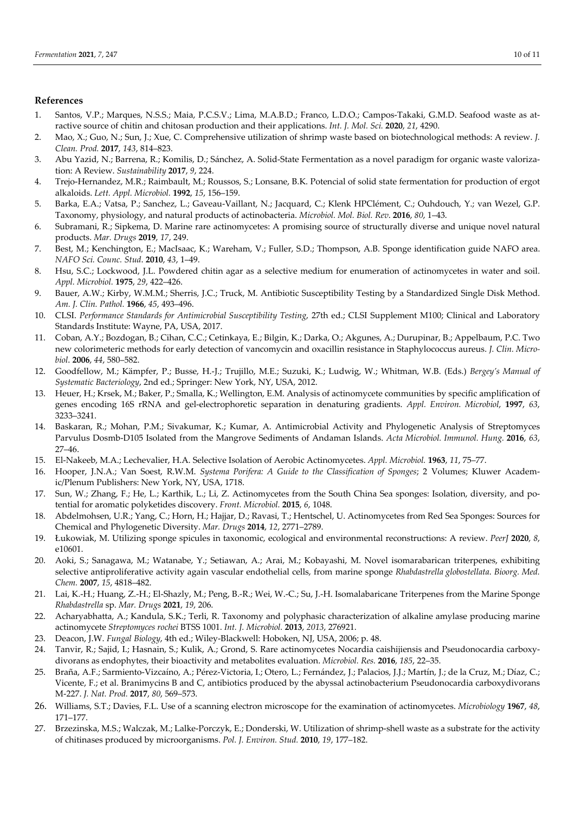## **References**

- 1. Santos, V.P.; Marques, N.S.S.; Maia, P.C.S.V.; Lima, M.A.B.D.; Franco, L.D.O.; Campos-Takaki, G.M.D. Seafood waste as atractive source of chitin and chitosan production and their applications. *Int. J. Mol. Sci.* **2020**, *21*, 4290.
- 2. Mao, X.; Guo, N.; Sun, J.; Xue, C. Comprehensive utilization of shrimp waste based on biotechnological methods: A review. *J. Clean. Prod.* **2017**, *143*, 814–823.
- 3. Abu Yazid, N.; Barrena, R.; Komilis, D.; Sánchez, A. Solid-State Fermentation as a novel paradigm for organic waste valorization: A Review. *Sustainability* **2017**, *9*, 224.
- 4. Trejo-Hernandez, M.R.; Raimbault, M.; Roussos, S.; Lonsane, B.K. Potencial of solid state fermentation for production of ergot alkaloids. *Lett. Appl. Microbiol.* **1992**, *15*, 156–159.
- 5. Barka, E.A.; Vatsa, P.; Sanchez, L.; Gaveau-Vaillant, N.; Jacquard, C.; Klenk HPClément, C.; Ouhdouch, Y.; van Wezel, G.P. Taxonomy, physiology, and natural products of actinobacteria. *Microbiol. Mol. Biol. Rev*. **2016**, *80*, 1–43.
- 6. Subramani, R.; Sipkema, D. Marine rare actinomycetes: A promising source of structurally diverse and unique novel natural products. *Mar. Drugs* **2019**, *17*, 249.
- 7. Best, M.; Kenchington, E.; MacIsaac, K.; Wareham, V.; Fuller, S.D.; Thompson, A.B. Sponge identification guide NAFO area. *NAFO Sci. Counc. Stud*. **2010**, *43*, 1–49.
- 8. Hsu, S.C.; Lockwood, J.L. Powdered chitin agar as a selective medium for enumeration of actinomycetes in water and soil. *Appl. Microbiol.* **1975**, *29*, 422–426.
- 9. Bauer, A.W.; Kirby, W.M.M.; Sherris, J.C.; Truck, M. Antibiotic Susceptibility Testing by a Standardized Single Disk Method. *Am. J. Clin. Pathol.* **1966**, *45*, 493–496.
- 10. CLSI. *Performance Standards for Antimicrobial Susceptibility Testing*, 27th ed.; CLSI Supplement M100; Clinical and Laboratory Standards Institute: Wayne, PA, USA, 2017.
- 11. Coban, A.Y.; Bozdogan, B.; Cihan, C.C.; Cetinkaya, E.; Bilgin, K.; Darka, O.; Akgunes, A.; Durupinar, B.; Appelbaum, P.C. Two new colorimeteric methods for early detection of vancomycin and oxacillin resistance in Staphylococcus aureus. *J. Clin. Microbiol*. **2006**, *44*, 580–582.
- 12. Goodfellow, M.; Kämpfer, P.; Busse, H.-J.; Trujillo, M.E.; Suzuki, K.; Ludwig, W.; Whitman, W.B. (Eds.) *Bergey's Manual of Systematic Bacteriology*, 2nd ed.; Springer: New York, NY, USA, 2012.
- 13. Heuer, H.; Krsek, M.; Baker, P.; Smalla, K.; Wellington, E.M. Analysis of actinomycete communities by specific amplification of genes encoding 16S rRNA and gel-electrophoretic separation in denaturing gradients. *Appl. Environ. Microbiol*, **1997**, *63*, 3233–3241.
- 14. Baskaran, R.; Mohan, P.M.; Sivakumar, K.; Kumar, A. Antimicrobial Activity and Phylogenetic Analysis of Streptomyces Parvulus Dosmb-D105 Isolated from the Mangrove Sediments of Andaman Islands. *Acta Microbiol. Immunol. Hung.* **2016**, *63*, 27–46.
- 15. El-Nakeeb, M.A.; Lechevalier, H.A. Selective Isolation of Aerobic Actinomycetes. *Appl. Microbiol.* **1963**, *11*, 75–77.
- 16. Hooper, J.N.A.; Van Soest, R.W.M. *Systema Porifera: A Guide to the Classification of Sponges*; 2 Volumes; Kluwer Academic/Plenum Publishers: New York, NY, USA, 1718.
- 17. Sun, W.; Zhang, F.; He, L.; Karthik, L.; Li, Z. Actinomycetes from the South China Sea sponges: Isolation, diversity, and potential for aromatic polyketides discovery. *Front. Microbiol.* **2015**, *6*, 1048.
- 18. Abdelmohsen, U.R.; Yang, C.; Horn, H.; Hajjar, D.; Ravasi, T.; Hentschel, U. Actinomycetes from Red Sea Sponges: Sources for Chemical and Phylogenetic Diversity. *Mar. Drugs* **2014**, *12*, 2771–2789.
- 19. Łukowiak, M. Utilizing sponge spicules in taxonomic, ecological and environmental reconstructions: A review. *PeerJ* **2020**, *8*, e10601.
- 20. Aoki, S.; Sanagawa, M.; Watanabe, Y.; Setiawan, A.; Arai, M.; Kobayashi, M. Novel isomarabarican triterpenes, exhibiting selective antiproliferative activity again vascular endothelial cells, from marine sponge *Rhabdastrella globostellata*. *Bioorg. Med. Chem.* **2007**, *15*, 4818–482.
- 21. Lai, K.-H.; Huang, Z.-H.; El-Shazly, M.; Peng, B.-R.; Wei, W.-C.; Su, J.-H. Isomalabaricane Triterpenes from the Marine Sponge *Rhabdastrella* sp. *Mar. Drugs* **2021**, *19*, 206.
- 22. Acharyabhatta, A.; Kandula, S.K.; Terli, R. Taxonomy and polyphasic characterization of alkaline amylase producing marine actinomycete *Streptomyces rochei* BTSS 1001. *Int. J. Microbiol.* **2013**, *2013*, 276921.
- 23. Deacon, J.W. *Fungal Biology*, 4th ed.; Wiley-Blackwell: Hoboken, NJ, USA, 2006; p. 48.
- 24. Tanvir, R.; Sajid, I.; Hasnain, S.; Kulik, A.; Grond, S. Rare actinomycetes Nocardia caishijiensis and Pseudonocardia carboxydivorans as endophytes, their bioactivity and metabolites evaluation. *Microbiol. Res.* **2016**, *185*, 22–35.
- 25. Braña, A.F.; Sarmiento-Vizcaíno, A.; Pérez-Victoria, I.; Otero, L.; Fernández, J.; Palacios, J.J.; Martín, J.; de la Cruz, M.; Díaz, C.; Vicente, F.; et al. Branimycins B and C, antibiotics produced by the abyssal actinobacterium Pseudonocardia carboxydivorans M-227. *J. Nat. Prod.* **2017**, *80*, 569–573.
- 26. Williams, S.T.; Davies, F.L. Use of a scanning electron microscope for the examination of actinomycetes. *Microbiology* **1967**, *48*, 171–177.
- 27. Brzezinska, M.S.; Walczak, M.; Lalke-Porczyk, E.; Donderski, W. Utilization of shrimp-shell waste as a substrate for the activity of chitinases produced by microorganisms. *Pol. J. Environ. Stud.* **2010**, *19*, 177–182.